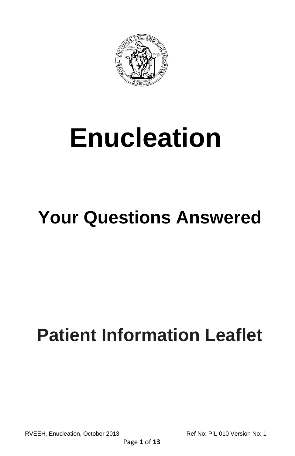

# **Enucleation**

# **Your Questions Answered**

# **Patient Information Leaflet**

RVEEH, Enucleation, October 2013 Ref No: PIL 010 Version No: 1

Page **1** of **13**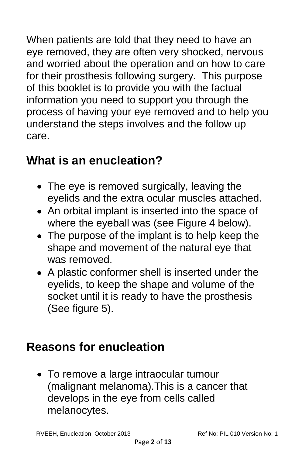When patients are told that they need to have an eye removed, they are often very shocked, nervous and worried about the operation and on how to care for their prosthesis following surgery. This purpose of this booklet is to provide you with the factual information you need to support you through the process of having your eye removed and to help you understand the steps involves and the follow up care.

#### **What is an enucleation?**

- The eye is removed surgically, leaving the eyelids and the extra ocular muscles attached.
- An orbital implant is inserted into the space of where the eyeball was (see Figure 4 below).
- The purpose of the implant is to help keep the shape and movement of the natural eye that was removed.
- A plastic conformer shell is inserted under the eyelids, to keep the shape and volume of the socket until it is ready to have the prosthesis (See figure 5).

#### **Reasons for enucleation**

To remove a large intraocular tumour (malignant melanoma).This is a cancer that develops in the eye from cells called melanocytes.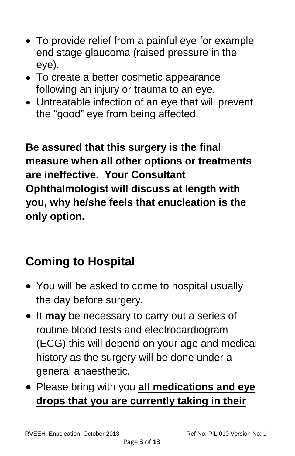- To provide relief from a painful eye for example end stage glaucoma (raised pressure in the eye).
- To create a better cosmetic appearance following an injury or trauma to an eye.
- Untreatable infection of an eye that will prevent the "good" eye from being affected.

**Be assured that this surgery is the final measure when all other options or treatments are ineffective. Your Consultant Ophthalmologist will discuss at length with you, why he/she feels that enucleation is the only option.**

# **Coming to Hospital**

- You will be asked to come to hospital usually the day before surgery.
- It **may** be necessary to carry out a series of routine blood tests and electrocardiogram (ECG) this will depend on your age and medical history as the surgery will be done under a general anaesthetic.
- Please bring with you **all medications and eye drops that you are currently taking in their**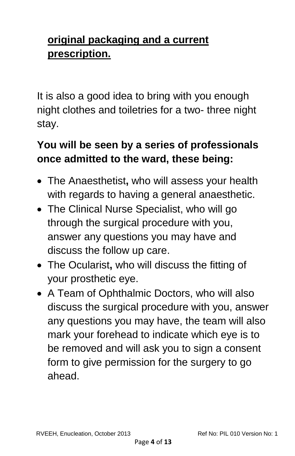#### **original packaging and a current prescription.**

It is also a good idea to bring with you enough night clothes and toiletries for a two- three night stay.

#### **You will be seen by a series of professionals once admitted to the ward, these being:**

- The Anaesthetist**,** who will assess your health with regards to having a general anaesthetic.
- The Clinical Nurse Specialist, who will go through the surgical procedure with you, answer any questions you may have and discuss the follow up care.
- The Ocularist**,** who will discuss the fitting of your prosthetic eye.
- A Team of Ophthalmic Doctors, who will also discuss the surgical procedure with you, answer any questions you may have, the team will also mark your forehead to indicate which eye is to be removed and will ask you to sign a consent form to give permission for the surgery to go ahead.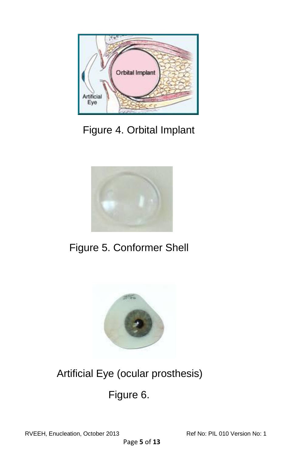

Figure 4. Orbital Implant



Figure 5. Conformer Shell



# Artificial Eye (ocular prosthesis)

Figure 6.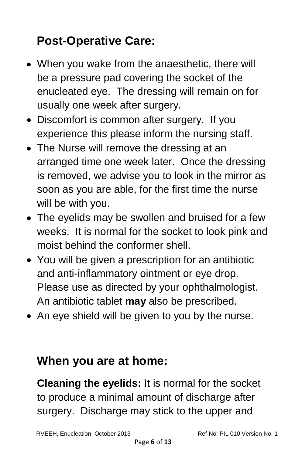# **Post-Operative Care:**

- When you wake from the anaesthetic, there will be a pressure pad covering the socket of the enucleated eye. The dressing will remain on for usually one week after surgery.
- Discomfort is common after surgery. If you experience this please inform the nursing staff.
- The Nurse will remove the dressing at an arranged time one week later. Once the dressing is removed, we advise you to look in the mirror as soon as you are able, for the first time the nurse will be with you.
- The eyelids may be swollen and bruised for a few weeks. It is normal for the socket to look pink and moist behind the conformer shell.
- You will be given a prescription for an antibiotic and anti-inflammatory ointment or eye drop. Please use as directed by your ophthalmologist. An antibiotic tablet **may** also be prescribed.
- An eye shield will be given to you by the nurse.

#### **When you are at home:**

**Cleaning the eyelids:** It is normal for the socket to produce a minimal amount of discharge after surgery. Discharge may stick to the upper and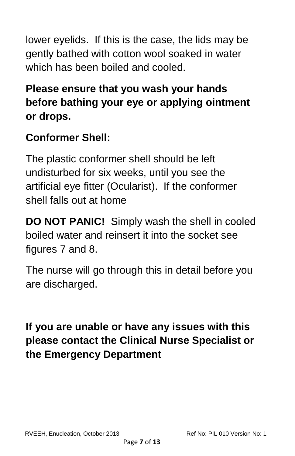lower eyelids. If this is the case, the lids may be gently bathed with cotton wool soaked in water which has been boiled and cooled.

#### **Please ensure that you wash your hands before bathing your eye or applying ointment or drops.**

#### **Conformer Shell:**

The plastic conformer shell should be left undisturbed for six weeks, until you see the artificial eye fitter (Ocularist). If the conformer shell falls out at home

**DO NOT PANIC!** Simply wash the shell in cooled boiled water and reinsert it into the socket see figures 7 and 8.

The nurse will go through this in detail before you are discharged.

#### **If you are unable or have any issues with this please contact the Clinical Nurse Specialist or the Emergency Department**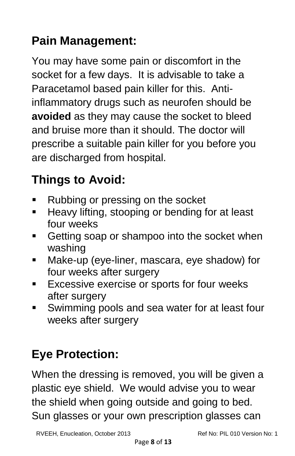# **Pain Management:**

You may have some pain or discomfort in the socket for a few days. It is advisable to take a Paracetamol based pain killer for this. Antiinflammatory drugs such as neurofen should be **avoided** as they may cause the socket to bleed and bruise more than it should. The doctor will prescribe a suitable pain killer for you before you are discharged from hospital.

# **Things to Avoid:**

- Rubbing or pressing on the socket
- **Heavy lifting, stooping or bending for at least** four weeks
- **Getting soap or shampoo into the socket when** washing
- Make-up (eye-liner, mascara, eye shadow) for four weeks after surgery
- **Excessive exercise or sports for four weeks** after surgery
- Swimming pools and sea water for at least four weeks after surgery

# **Eye Protection:**

When the dressing is removed, you will be given a plastic eye shield. We would advise you to wear the shield when going outside and going to bed. Sun glasses or your own prescription glasses can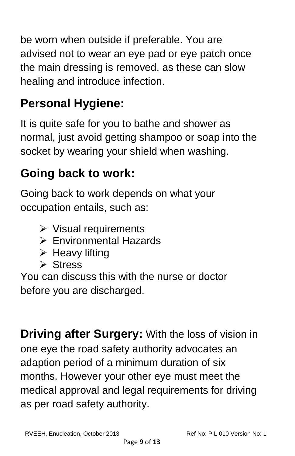be worn when outside if preferable. You are advised not to wear an eye pad or eye patch once the main dressing is removed, as these can slow healing and introduce infection.

# **Personal Hygiene:**

It is quite safe for you to bathe and shower as normal, just avoid getting shampoo or soap into the socket by wearing your shield when washing.

# **Going back to work:**

Going back to work depends on what your occupation entails, such as:

- $\triangleright$  Visual requirements
- Environmental Hazards
- $\triangleright$  Heavy lifting
- **≻** Stress

You can discuss this with the nurse or doctor before you are discharged.

**Driving after Surgery:** With the loss of vision in one eye the road safety authority advocates an adaption period of a minimum duration of six months. However your other eye must meet the medical approval and legal requirements for driving as per road safety authority.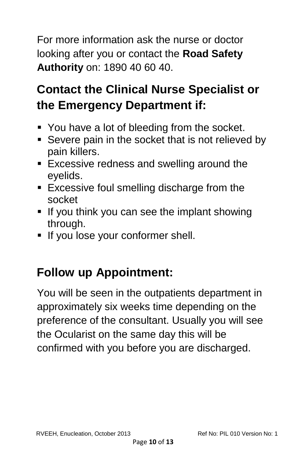For more information ask the nurse or doctor looking after you or contact the **Road Safety Authority** on: 1890 40 60 40.

# **Contact the Clinical Nurse Specialist or the Emergency Department if:**

- You have a lot of bleeding from the socket.
- **Severe pain in the socket that is not relieved by** pain killers.
- **Excessive redness and swelling around the** eyelids.
- **Excessive foul smelling discharge from the** socket
- If you think you can see the implant showing through.
- If you lose your conformer shell.

### **Follow up Appointment:**

You will be seen in the outpatients department in approximately six weeks time depending on the preference of the consultant. Usually you will see the Ocularist on the same day this will be confirmed with you before you are discharged.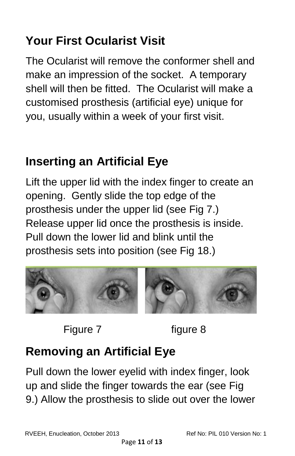# **Your First Ocularist Visit**

The Ocularist will remove the conformer shell and make an impression of the socket. A temporary shell will then be fitted. The Ocularist will make a customised prosthesis (artificial eye) unique for you, usually within a week of your first visit.

# **Inserting an Artificial Eye**

Lift the upper lid with the index finger to create an opening. Gently slide the top edge of the prosthesis under the upper lid (see Fig 7.) Release upper lid once the prosthesis is inside. Pull down the lower lid and blink until the prosthesis sets into position (see Fig 18.)



Figure 7 figure 8

# **Removing an Artificial Eye**

Pull down the lower eyelid with index finger, look up and slide the finger towards the ear (see Fig 9.) Allow the prosthesis to slide out over the lower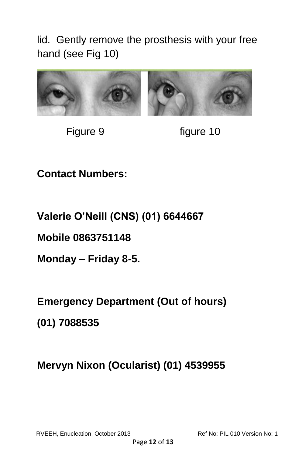lid. Gently remove the prosthesis with your free hand (see Fig 10)



Figure 9 figure 10

**Contact Numbers:**

**Valerie O'Neill (CNS) (01) 6644667** 

**Mobile 0863751148**

**Monday – Friday 8-5.**

**Emergency Department (Out of hours)** 

**(01) 7088535**

**Mervyn Nixon (Ocularist) (01) 4539955**